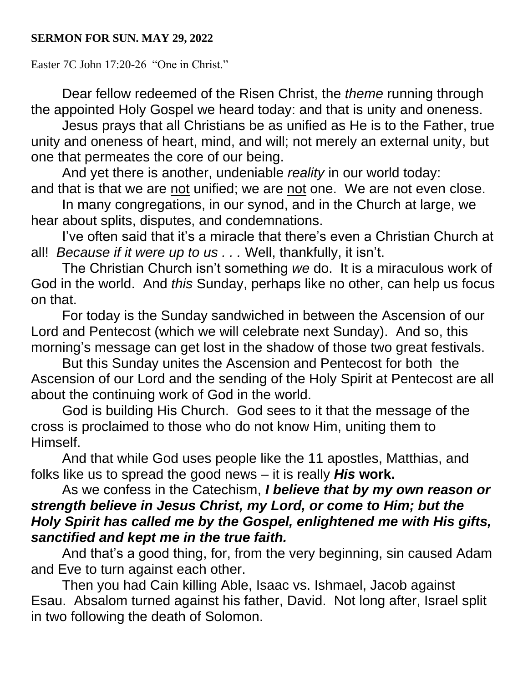## **SERMON FOR SUN. MAY 29, 2022**

Easter 7C John 17:20-26 "One in Christ."

Dear fellow redeemed of the Risen Christ, the *theme* running through the appointed Holy Gospel we heard today: and that is unity and oneness.

Jesus prays that all Christians be as unified as He is to the Father, true unity and oneness of heart, mind, and will; not merely an external unity, but one that permeates the core of our being.

And yet there is another, undeniable *reality* in our world today: and that is that we are not unified; we are not one. We are not even close.

In many congregations, in our synod, and in the Church at large, we hear about splits, disputes, and condemnations.

I've often said that it's a miracle that there's even a Christian Church at all! *Because if it were up to us . . .* Well, thankfully, it isn't.

The Christian Church isn't something *we* do. It is a miraculous work of God in the world. And *this* Sunday, perhaps like no other, can help us focus on that.

For today is the Sunday sandwiched in between the Ascension of our Lord and Pentecost (which we will celebrate next Sunday). And so, this morning's message can get lost in the shadow of those two great festivals.

But this Sunday unites the Ascension and Pentecost for both the Ascension of our Lord and the sending of the Holy Spirit at Pentecost are all about the continuing work of God in the world.

God is building His Church. God sees to it that the message of the cross is proclaimed to those who do not know Him, uniting them to Himself.

And that while God uses people like the 11 apostles, Matthias, and folks like us to spread the good news – it is really *His* **work.**

## As we confess in the Catechism, *I believe that by my own reason or strength believe in Jesus Christ, my Lord, or come to Him; but the Holy Spirit has called me by the Gospel, enlightened me with His gifts, sanctified and kept me in the true faith.*

And that's a good thing, for, from the very beginning, sin caused Adam and Eve to turn against each other.

Then you had Cain killing Able, Isaac vs. Ishmael, Jacob against Esau. Absalom turned against his father, David. Not long after, Israel split in two following the death of Solomon.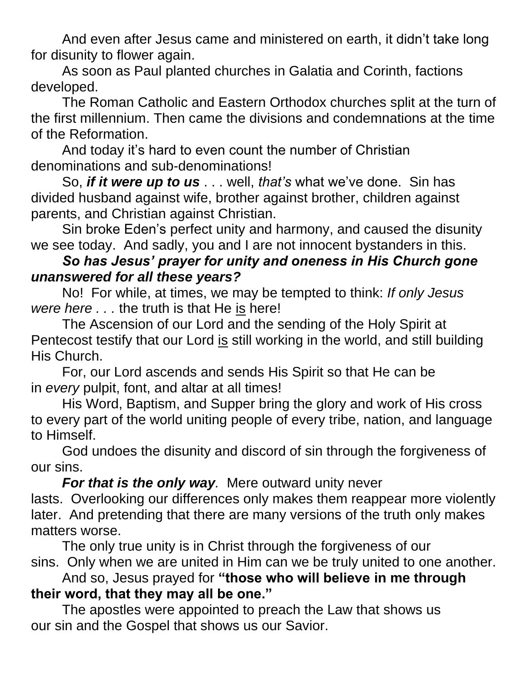And even after Jesus came and ministered on earth, it didn't take long for disunity to flower again.

As soon as Paul planted churches in Galatia and Corinth, factions developed.

The Roman Catholic and Eastern Orthodox churches split at the turn of the first millennium. Then came the divisions and condemnations at the time of the Reformation.

And today it's hard to even count the number of Christian denominations and sub-denominations!

So, *if it were up to us* . . . well, *that's* what we've done. Sin has divided husband against wife, brother against brother, children against parents, and Christian against Christian.

Sin broke Eden's perfect unity and harmony, and caused the disunity we see today. And sadly, you and I are not innocent bystanders in this.

## *So has Jesus' prayer for unity and oneness in His Church gone unanswered for all these years?*

No! For while, at times, we may be tempted to think: *If only Jesus were here . . .* the truth is that He is here!

The Ascension of our Lord and the sending of the Holy Spirit at Pentecost testify that our Lord is still working in the world, and still building His Church.

For, our Lord ascends and sends His Spirit so that He can be in *every* pulpit, font, and altar at all times!

His Word, Baptism, and Supper bring the glory and work of His cross to every part of the world uniting people of every tribe, nation, and language to Himself.

God undoes the disunity and discord of sin through the forgiveness of our sins.

*For that is the only way.* Mere outward unity never lasts. Overlooking our differences only makes them reappear more violently later. And pretending that there are many versions of the truth only makes matters worse.

The only true unity is in Christ through the forgiveness of our sins. Only when we are united in Him can we be truly united to one another.

And so, Jesus prayed for **"those who will believe in me through their word, that they may all be one."**

The apostles were appointed to preach the Law that shows us our sin and the Gospel that shows us our Savior.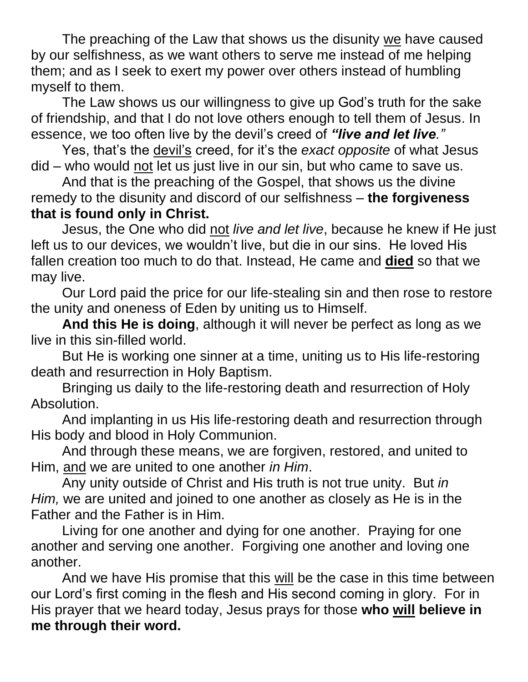The preaching of the Law that shows us the disunity we have caused by our selfishness, as we want others to serve me instead of me helping them; and as I seek to exert my power over others instead of humbling myself to them.

The Law shows us our willingness to give up God's truth for the sake of friendship, and that I do not love others enough to tell them of Jesus. In essence, we too often live by the devil's creed of *"live and let live."*

Yes, that's the devil's creed, for it's the *exact opposite* of what Jesus did – who would not let us just live in our sin, but who came to save us.

And that is the preaching of the Gospel, that shows us the divine remedy to the disunity and discord of our selfishness – **the forgiveness that is found only in Christ.**

Jesus, the One who did not *live and let live*, because he knew if He just left us to our devices, we wouldn't live, but die in our sins. He loved His fallen creation too much to do that. Instead, He came and **died** so that we may live.

Our Lord paid the price for our life-stealing sin and then rose to restore the unity and oneness of Eden by uniting us to Himself.

**And this He is doing**, although it will never be perfect as long as we live in this sin-filled world.

But He is working one sinner at a time, uniting us to His life-restoring death and resurrection in Holy Baptism.

Bringing us daily to the life-restoring death and resurrection of Holy Absolution.

And implanting in us His life-restoring death and resurrection through His body and blood in Holy Communion.

And through these means, we are forgiven, restored, and united to Him, and we are united to one another *in Him*.

Any unity outside of Christ and His truth is not true unity. But *in Him,* we are united and joined to one another as closely as He is in the Father and the Father is in Him.

Living for one another and dying for one another. Praying for one another and serving one another. Forgiving one another and loving one another.

And we have His promise that this will be the case in this time between our Lord's first coming in the flesh and His second coming in glory. For in His prayer that we heard today, Jesus prays for those **who will believe in me through their word.**